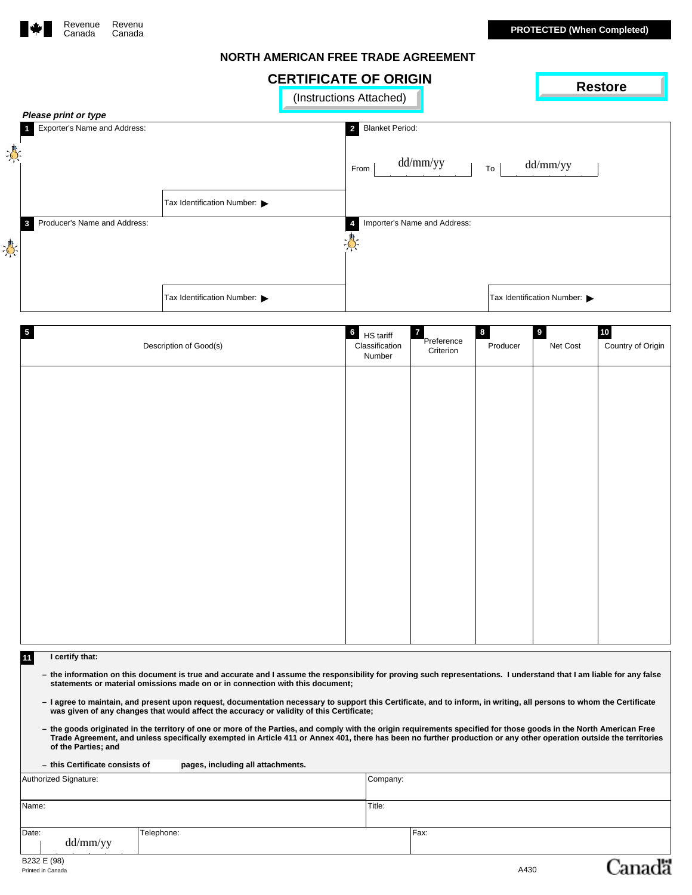<span id="page-0-0"></span>

 $\frac{1}{2}$ 

# **NORTH AMERICAN FREE TRADE AGREEMENT**

| NURTH AMERICAN FREE TRADE AGREEMENT |  |  |
|-------------------------------------|--|--|
|                                     |  |  |

|     | <b>CERTIFICATE OF ORIGIN</b><br><b>Restore</b> |                                                  |                                          |                            |  |
|-----|------------------------------------------------|--------------------------------------------------|------------------------------------------|----------------------------|--|
|     | (Instructions Attached)                        |                                                  |                                          |                            |  |
|     | Please print or type                           |                                                  |                                          |                            |  |
|     | Exporter's Name and Address:                   |                                                  | <b>Blanket Period:</b><br>$\overline{2}$ |                            |  |
| 専   |                                                |                                                  | dd/mm/yy<br>From<br>To                   | dd/mm/yy                   |  |
|     |                                                | Tax Identification Number: $\blacktriangleright$ |                                          |                            |  |
|     | Producer's Name and Address:<br>3              |                                                  | Importer's Name and Address:             |                            |  |
| ্তি |                                                |                                                  | -Q-                                      |                            |  |
|     |                                                |                                                  |                                          |                            |  |
|     |                                                | Tax Identification Number:                       |                                          | Tax Identification Number: |  |

|                                                      |                                                                                                                                                                                                                                                                                                                                           | <u>ווטוויט וט בורשו ווויונ</u>           |                              |          |                            | <b>Restore</b>    |
|------------------------------------------------------|-------------------------------------------------------------------------------------------------------------------------------------------------------------------------------------------------------------------------------------------------------------------------------------------------------------------------------------------|------------------------------------------|------------------------------|----------|----------------------------|-------------------|
|                                                      |                                                                                                                                                                                                                                                                                                                                           | (Instructions Attached)                  |                              |          |                            |                   |
| Please print or type<br>Exporter's Name and Address: |                                                                                                                                                                                                                                                                                                                                           | <b>Blanket Period:</b><br>$\overline{2}$ |                              |          |                            |                   |
|                                                      |                                                                                                                                                                                                                                                                                                                                           |                                          |                              |          |                            |                   |
|                                                      |                                                                                                                                                                                                                                                                                                                                           |                                          |                              |          |                            |                   |
|                                                      |                                                                                                                                                                                                                                                                                                                                           | From                                     | dd/mm/yy                     | To       | dd/mm/yy                   |                   |
|                                                      |                                                                                                                                                                                                                                                                                                                                           |                                          |                              |          |                            |                   |
|                                                      | Tax Identification Number:                                                                                                                                                                                                                                                                                                                |                                          |                              |          |                            |                   |
| Producer's Name and Address:                         |                                                                                                                                                                                                                                                                                                                                           | $\boldsymbol{4}$                         | Importer's Name and Address: |          |                            |                   |
| 3                                                    |                                                                                                                                                                                                                                                                                                                                           |                                          |                              |          |                            |                   |
|                                                      |                                                                                                                                                                                                                                                                                                                                           |                                          |                              |          |                            |                   |
|                                                      |                                                                                                                                                                                                                                                                                                                                           |                                          |                              |          |                            |                   |
|                                                      |                                                                                                                                                                                                                                                                                                                                           |                                          |                              |          |                            |                   |
|                                                      | Tax Identification Number:                                                                                                                                                                                                                                                                                                                |                                          |                              |          | Tax Identification Number: |                   |
|                                                      |                                                                                                                                                                                                                                                                                                                                           |                                          |                              |          |                            |                   |
| $\overline{\mathbf{5}}$                              |                                                                                                                                                                                                                                                                                                                                           | $\bf 6$                                  |                              | 8        | $\boldsymbol{9}$           | $10\,$            |
|                                                      | Description of Good(s)                                                                                                                                                                                                                                                                                                                    | HS tariff<br>Classification              | $\mathbf{7}$<br>Preference   | Producer | Net Cost                   | Country of Origin |
|                                                      |                                                                                                                                                                                                                                                                                                                                           | Number                                   | Criterion                    |          |                            |                   |
|                                                      |                                                                                                                                                                                                                                                                                                                                           |                                          |                              |          |                            |                   |
|                                                      |                                                                                                                                                                                                                                                                                                                                           |                                          |                              |          |                            |                   |
|                                                      |                                                                                                                                                                                                                                                                                                                                           |                                          |                              |          |                            |                   |
|                                                      |                                                                                                                                                                                                                                                                                                                                           |                                          |                              |          |                            |                   |
|                                                      |                                                                                                                                                                                                                                                                                                                                           |                                          |                              |          |                            |                   |
|                                                      |                                                                                                                                                                                                                                                                                                                                           |                                          |                              |          |                            |                   |
|                                                      |                                                                                                                                                                                                                                                                                                                                           |                                          |                              |          |                            |                   |
|                                                      |                                                                                                                                                                                                                                                                                                                                           |                                          |                              |          |                            |                   |
|                                                      |                                                                                                                                                                                                                                                                                                                                           |                                          |                              |          |                            |                   |
|                                                      |                                                                                                                                                                                                                                                                                                                                           |                                          |                              |          |                            |                   |
|                                                      |                                                                                                                                                                                                                                                                                                                                           |                                          |                              |          |                            |                   |
|                                                      |                                                                                                                                                                                                                                                                                                                                           |                                          |                              |          |                            |                   |
|                                                      |                                                                                                                                                                                                                                                                                                                                           |                                          |                              |          |                            |                   |
|                                                      |                                                                                                                                                                                                                                                                                                                                           |                                          |                              |          |                            |                   |
|                                                      |                                                                                                                                                                                                                                                                                                                                           |                                          |                              |          |                            |                   |
|                                                      |                                                                                                                                                                                                                                                                                                                                           |                                          |                              |          |                            |                   |
|                                                      |                                                                                                                                                                                                                                                                                                                                           |                                          |                              |          |                            |                   |
|                                                      |                                                                                                                                                                                                                                                                                                                                           |                                          |                              |          |                            |                   |
|                                                      |                                                                                                                                                                                                                                                                                                                                           |                                          |                              |          |                            |                   |
| I certify that:<br>11                                |                                                                                                                                                                                                                                                                                                                                           |                                          |                              |          |                            |                   |
|                                                      | - the information on this document is true and accurate and I assume the responsibility for proving such representations. I understand that I am liable for any false<br>statements or material omissions made on or in connection with this document;                                                                                    |                                          |                              |          |                            |                   |
|                                                      | - I agree to maintain, and present upon request, documentation necessary to support this Certificate, and to inform, in writing, all persons to whom the Certificate<br>was given of any changes that would affect the accuracy or validity of this Certificate;                                                                          |                                          |                              |          |                            |                   |
| of the Parties; and                                  | - the goods originated in the territory of one or more of the Parties, and comply with the origin requirements specified for those goods in the North American Free<br>Trade Agreement, and unless specifically exempted in Article 411 or Annex 401, there has been no further production or any other operation outside the territories |                                          |                              |          |                            |                   |
| - this Certificate consists of                       | pages, including all attachments.                                                                                                                                                                                                                                                                                                         |                                          |                              |          |                            |                   |
| Authorized Signature:                                |                                                                                                                                                                                                                                                                                                                                           | Company:                                 |                              |          |                            |                   |
|                                                      |                                                                                                                                                                                                                                                                                                                                           |                                          |                              |          |                            |                   |
| Name:                                                |                                                                                                                                                                                                                                                                                                                                           | Title:                                   |                              |          |                            |                   |
| Date:<br>dd/mm/yy                                    | Telephone:                                                                                                                                                                                                                                                                                                                                |                                          | Fax:                         |          |                            |                   |

#### **11 I certify that:**

- the information on this document is true and accurate and I assume the responsibility for proving such representations. I understand that I am liable for any false<br>statements or material omissions made on or in connectio
- I agree to maintain, and present upon request, documentation necessary to support this Certificate, and to inform, in writing, all persons to whom the Certificate<br>was given of any changes that would affect the accuracy o
- he goods originated in the territory of one or more of the Parties, and comply with the origin requirements specified for those goods in the North American Free Trade Agreement, and unless specifically exempted in Article

|       | - this Certificate consists of | pages, including all attachments. |          |
|-------|--------------------------------|-----------------------------------|----------|
|       | Authorized Signature:          |                                   | Company: |
|       |                                |                                   |          |
| Name: |                                |                                   | Title:   |
|       |                                |                                   |          |
| Date: |                                | Telephone:                        | Fax:     |
|       | dd/mm/yy                       |                                   |          |

Cana